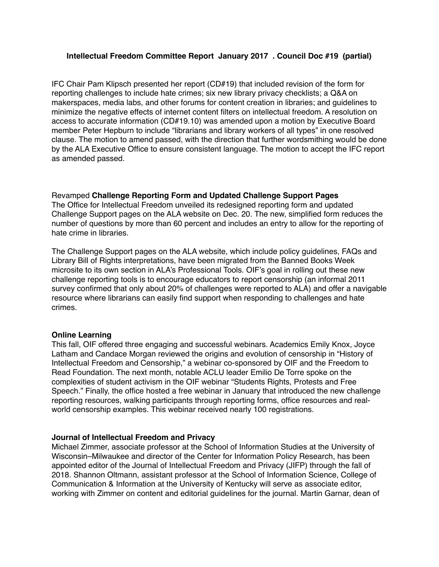## **Intellectual Freedom Committee Report January 2017 . Council Doc #19 (partial)**

IFC Chair Pam Klipsch presented her report (CD#19) that included revision of the form for reporting challenges to include hate crimes; six new library privacy checklists; a Q&A on makerspaces, media labs, and other forums for content creation in libraries; and guidelines to minimize the negative effects of internet content filters on intellectual freedom. A resolution on access to accurate information (CD#19.10) was amended upon a motion by Executive Board member Peter Hepburn to include "librarians and library workers of all types" in one resolved clause. The motion to amend passed, with the direction that further wordsmithing would be done by the ALA Executive Office to ensure consistent language. The motion to accept the IFC report as amended passed.

Revamped **Challenge Reporting Form and Updated Challenge Support Pages** The Office for Intellectual Freedom unveiled its redesigned reporting form and updated Challenge Support pages on the ALA website on Dec. 20. The new, simplified form reduces the number of questions by more than 60 percent and includes an entry to allow for the reporting of hate crime in libraries.

The Challenge Support pages on the ALA website, which include policy guidelines, FAQs and Library Bill of Rights interpretations, have been migrated from the Banned Books Week microsite to its own section in ALA's Professional Tools. OIF's goal in rolling out these new challenge reporting tools is to encourage educators to report censorship (an informal 2011 survey confirmed that only about 20% of challenges were reported to ALA) and offer a navigable resource where librarians can easily find support when responding to challenges and hate crimes.

#### **Online Learning**

This fall, OIF offered three engaging and successful webinars. Academics Emily Knox, Joyce Latham and Candace Morgan reviewed the origins and evolution of censorship in "History of Intellectual Freedom and Censorship," a webinar co-sponsored by OIF and the Freedom to Read Foundation. The next month, notable ACLU leader Emilio De Torre spoke on the complexities of student activism in the OIF webinar "Students Rights, Protests and Free Speech." Finally, the office hosted a free webinar in January that introduced the new challenge reporting resources, walking participants through reporting forms, office resources and realworld censorship examples. This webinar received nearly 100 registrations.

#### **Journal of Intellectual Freedom and Privacy**

Michael Zimmer, associate professor at the School of Information Studies at the University of Wisconsin–Milwaukee and director of the Center for Information Policy Research, has been appointed editor of the Journal of Intellectual Freedom and Privacy (JIFP) through the fall of 2018. Shannon Oltmann, assistant professor at the School of Information Science, College of Communication & Information at the University of Kentucky will serve as associate editor, working with Zimmer on content and editorial guidelines for the journal. Martin Garnar, dean of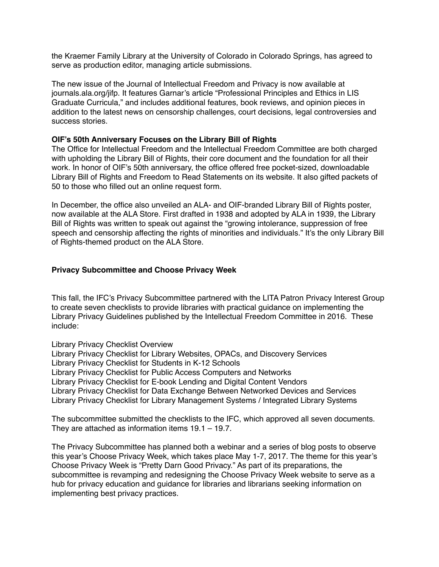the Kraemer Family Library at the University of Colorado in Colorado Springs, has agreed to serve as production editor, managing article submissions.

The new issue of the Journal of Intellectual Freedom and Privacy is now available at journals.ala.org/jifp. It features Garnar's article "Professional Principles and Ethics in LIS Graduate Curricula," and includes additional features, book reviews, and opinion pieces in addition to the latest news on censorship challenges, court decisions, legal controversies and success stories.

## **OIF's 50th Anniversary Focuses on the Library Bill of Rights**

The Office for Intellectual Freedom and the Intellectual Freedom Committee are both charged with upholding the Library Bill of Rights, their core document and the foundation for all their work. In honor of OIF's 50th anniversary, the office offered free pocket-sized, downloadable Library Bill of Rights and Freedom to Read Statements on its website. It also gifted packets of 50 to those who filled out an online request form.

In December, the office also unveiled an ALA- and OIF-branded Library Bill of Rights poster, now available at the ALA Store. First drafted in 1938 and adopted by ALA in 1939, the Library Bill of Rights was written to speak out against the "growing intolerance, suppression of free speech and censorship affecting the rights of minorities and individuals." It's the only Library Bill of Rights-themed product on the ALA Store.

## **Privacy Subcommittee and Choose Privacy Week**

This fall, the IFC's Privacy Subcommittee partnered with the LITA Patron Privacy Interest Group to create seven checklists to provide libraries with practical guidance on implementing the Library Privacy Guidelines published by the Intellectual Freedom Committee in 2016. These include:

Library Privacy Checklist Overview

Library Privacy Checklist for Library Websites, OPACs, and Discovery Services Library Privacy Checklist for Students in K-12 Schools Library Privacy Checklist for Public Access Computers and Networks Library Privacy Checklist for E-book Lending and Digital Content Vendors Library Privacy Checklist for Data Exchange Between Networked Devices and Services Library Privacy Checklist for Library Management Systems / Integrated Library Systems

The subcommittee submitted the checklists to the IFC, which approved all seven documents. They are attached as information items 19.1 – 19.7.

The Privacy Subcommittee has planned both a webinar and a series of blog posts to observe this year's Choose Privacy Week, which takes place May 1-7, 2017. The theme for this year's Choose Privacy Week is "Pretty Darn Good Privacy." As part of its preparations, the subcommittee is revamping and redesigning the Choose Privacy Week website to serve as a hub for privacy education and guidance for libraries and librarians seeking information on implementing best privacy practices.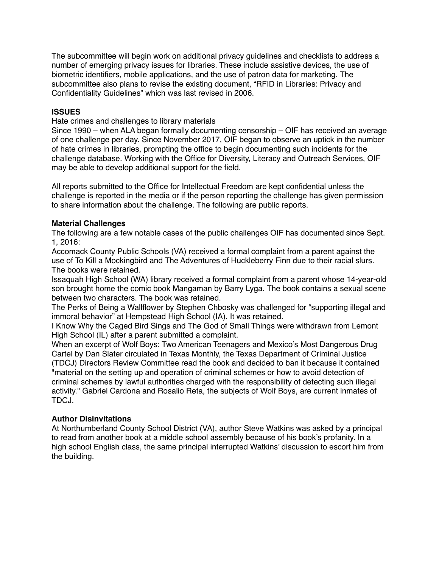The subcommittee will begin work on additional privacy guidelines and checklists to address a number of emerging privacy issues for libraries. These include assistive devices, the use of biometric identifiers, mobile applications, and the use of patron data for marketing. The subcommittee also plans to revise the existing document, "RFID in Libraries: Privacy and Confidentiality Guidelines" which was last revised in 2006.

# **ISSUES**

Hate crimes and challenges to library materials

Since 1990 – when ALA began formally documenting censorship – OIF has received an average of one challenge per day. Since November 2017, OIF began to observe an uptick in the number of hate crimes in libraries, prompting the office to begin documenting such incidents for the challenge database. Working with the Office for Diversity, Literacy and Outreach Services, OIF may be able to develop additional support for the field.

All reports submitted to the Office for Intellectual Freedom are kept confidential unless the challenge is reported in the media or if the person reporting the challenge has given permission to share information about the challenge. The following are public reports.

# **Material Challenges**

The following are a few notable cases of the public challenges OIF has documented since Sept. 1, 2016:

Accomack County Public Schools (VA) received a formal complaint from a parent against the use of To Kill a Mockingbird and The Adventures of Huckleberry Finn due to their racial slurs. The books were retained.

Issaquah High School (WA) library received a formal complaint from a parent whose 14-year-old son brought home the comic book Mangaman by Barry Lyga. The book contains a sexual scene between two characters. The book was retained.

The Perks of Being a Wallflower by Stephen Chbosky was challenged for "supporting illegal and immoral behavior" at Hempstead High School (IA). It was retained.

I Know Why the Caged Bird Sings and The God of Small Things were withdrawn from Lemont High School (IL) after a parent submitted a complaint.

When an excerpt of Wolf Boys: Two American Teenagers and Mexico's Most Dangerous Drug Cartel by Dan Slater circulated in Texas Monthly, the Texas Department of Criminal Justice (TDCJ) Directors Review Committee read the book and decided to ban it because it contained "material on the setting up and operation of criminal schemes or how to avoid detection of criminal schemes by lawful authorities charged with the responsibility of detecting such illegal activity." Gabriel Cardona and Rosalio Reta, the subjects of Wolf Boys, are current inmates of TDCJ.

# **Author Disinvitations**

At Northumberland County School District (VA), author Steve Watkins was asked by a principal to read from another book at a middle school assembly because of his book's profanity. In a high school English class, the same principal interrupted Watkins' discussion to escort him from the building.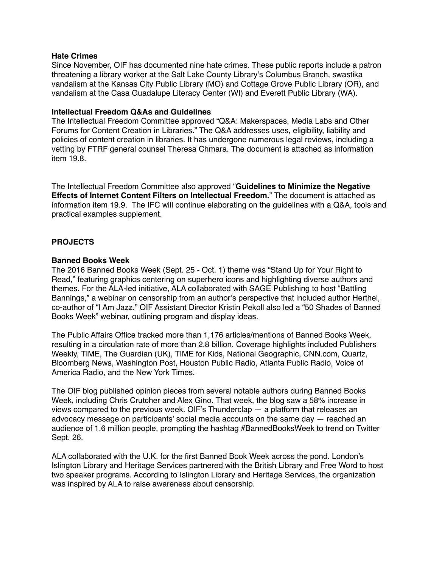#### **Hate Crimes**

Since November, OIF has documented nine hate crimes. These public reports include a patron threatening a library worker at the Salt Lake County Library's Columbus Branch, swastika vandalism at the Kansas City Public Library (MO) and Cottage Grove Public Library (OR), and vandalism at the Casa Guadalupe Literacy Center (WI) and Everett Public Library (WA).

#### **Intellectual Freedom Q&As and Guidelines**

The Intellectual Freedom Committee approved "Q&A: Makerspaces, Media Labs and Other Forums for Content Creation in Libraries." The Q&A addresses uses, eligibility, liability and policies of content creation in libraries. It has undergone numerous legal reviews, including a vetting by FTRF general counsel Theresa Chmara. The document is attached as information item 19.8.

The Intellectual Freedom Committee also approved "**Guidelines to Minimize the Negative Effects of Internet Content Filters on Intellectual Freedom.**" The document is attached as information item 19.9. The IFC will continue elaborating on the guidelines with a Q&A, tools and practical examples supplement.

## **PROJECTS**

#### **Banned Books Week**

The 2016 Banned Books Week (Sept. 25 - Oct. 1) theme was "Stand Up for Your Right to Read," featuring graphics centering on superhero icons and highlighting diverse authors and themes. For the ALA-led initiative, ALA collaborated with SAGE Publishing to host "Battling Bannings," a webinar on censorship from an author's perspective that included author Herthel, co-author of "I Am Jazz." OIF Assistant Director Kristin Pekoll also led a "50 Shades of Banned Books Week" webinar, outlining program and display ideas.

The Public Affairs Office tracked more than 1,176 articles/mentions of Banned Books Week, resulting in a circulation rate of more than 2.8 billion. Coverage highlights included Publishers Weekly, TIME, The Guardian (UK), TIME for Kids, National Geographic, CNN.com, Quartz, Bloomberg News, Washington Post, Houston Public Radio, Atlanta Public Radio, Voice of America Radio, and the New York Times.

The OIF blog published opinion pieces from several notable authors during Banned Books Week, including Chris Crutcher and Alex Gino. That week, the blog saw a 58% increase in views compared to the previous week. OIF's Thunderclap — a platform that releases an advocacy message on participants' social media accounts on the same day — reached an audience of 1.6 million people, prompting the hashtag #BannedBooksWeek to trend on Twitter Sept. 26.

ALA collaborated with the U.K. for the first Banned Book Week across the pond. London's Islington Library and Heritage Services partnered with the British Library and Free Word to host two speaker programs. According to Islington Library and Heritage Services, the organization was inspired by ALA to raise awareness about censorship.